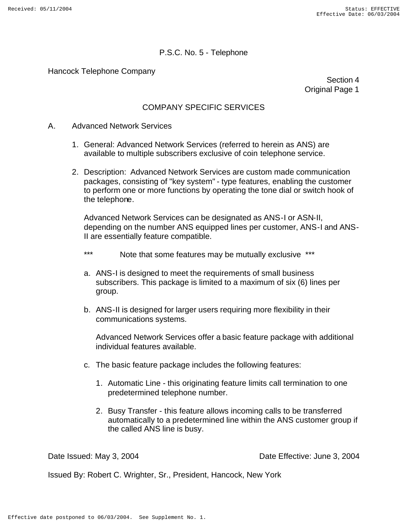Hancock Telephone Company

Section 4 Original Page 1

## COMPANY SPECIFIC SERVICES

- A. Advanced Network Services
	- 1. General: Advanced Network Services (referred to herein as ANS) are available to multiple subscribers exclusive of coin telephone service.
	- 2. Description: Advanced Network Services are custom made communication packages, consisting of "key system" - type features, enabling the customer to perform one or more functions by operating the tone dial or switch hook of the telephone.

Advanced Network Services can be designated as ANS-I or ASN-II, depending on the number ANS equipped lines per customer, ANS-I and ANS-II are essentially feature compatible.

- \*\*\* Note that some features may be mutually exclusive \*\*\*
- a. ANS-I is designed to meet the requirements of small business subscribers. This package is limited to a maximum of six (6) lines per group.
- b. ANS-II is designed for larger users requiring more flexibility in their communications systems.

Advanced Network Services offer a basic feature package with additional individual features available.

- c. The basic feature package includes the following features:
	- 1. Automatic Line this originating feature limits call termination to one predetermined telephone number.
	- 2. Busy Transfer this feature allows incoming calls to be transferred automatically to a predetermined line within the ANS customer group if the called ANS line is busy.

Date Issued: May 3, 2004 Date Effective: June 3, 2004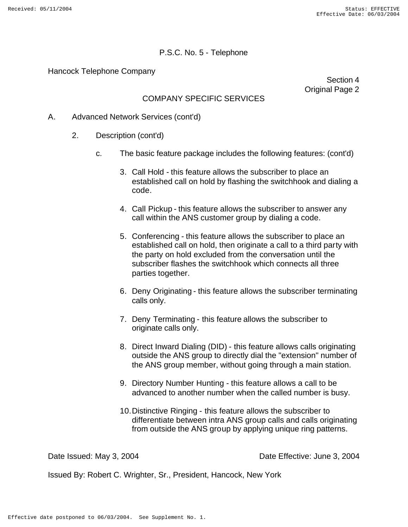Hancock Telephone Company

Section 4 Original Page 2

## COMPANY SPECIFIC SERVICES

- A. Advanced Network Services (cont'd)
	- 2. Description (cont'd)
		- c. The basic feature package includes the following features: (cont'd)
			- 3. Call Hold this feature allows the subscriber to place an established call on hold by flashing the switchhook and dialing a code.
			- 4. Call Pickup this feature allows the subscriber to answer any call within the ANS customer group by dialing a code.
			- 5. Conferencing this feature allows the subscriber to place an established call on hold, then originate a call to a third party with the party on hold excluded from the conversation until the subscriber flashes the switchhook which connects all three parties together.
			- 6. Deny Originating this feature allows the subscriber terminating calls only.
			- 7. Deny Terminating this feature allows the subscriber to originate calls only.
			- 8. Direct Inward Dialing (DID) this feature allows calls originating outside the ANS group to directly dial the "extension" number of the ANS group member, without going through a main station.
			- 9. Directory Number Hunting this feature allows a call to be advanced to another number when the called number is busy.
			- 10.Distinctive Ringing this feature allows the subscriber to differentiate between intra ANS group calls and calls originating from outside the ANS group by applying unique ring patterns.

Date Issued: May 3, 2004 Date Effective: June 3, 2004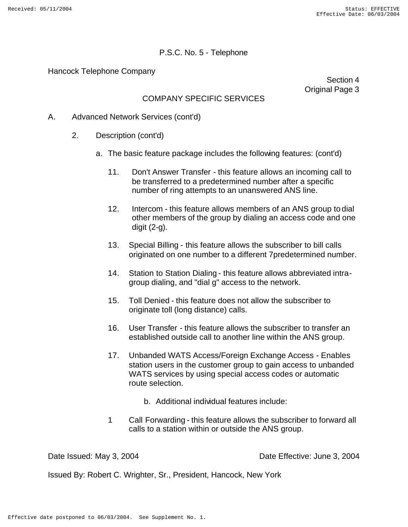Hancock Telephone Company

Section 4 Original Page 3

# COMPANY SPECIFIC SERVICES

- A. Advanced Network Services (cont'd)
	- 2. Description (cont'd)
		- a. The basic feature package includes the following features: (cont'd)
			- 11. Don't Answer Transfer this feature allows an incoming call to be transferred to a predetermined number after a specific number of ring attempts to an unanswered ANS line.
			- 12. Intercom this feature allows members of an ANS group to dial other members of the group by dialing an access code and one digit (2-g).
			- 13. Special Billing this feature allows the subscriber to bill calls originated on one number to a different 7predetermined number.
			- 14. Station to Station Dialing this feature allows abbreviated intragroup dialing, and "dial g" access to the network.
			- 15. Toll Denied this feature does not allow the subscriber to originate toll (long distance) calls.
			- 16. User Transfer this feature allows the subscriber to transfer an established outside call to another line within the ANS group.
			- 17. Unbanded WATS Access/Foreign Exchange Access Enables station users in the customer group to gain access to unbanded WATS services by using special access codes or automatic route selection.
				- b. Additional individual features include:
			- 1 Call Forwarding this feature allows the subscriber to forward all calls to a station within or outside the ANS group.

Date Issued: May 3, 2004 Date Effective: June 3, 2004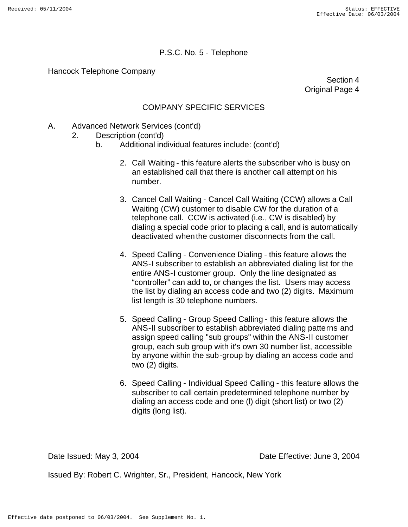Hancock Telephone Company

Section 4 Original Page 4

## COMPANY SPECIFIC SERVICES

- A. Advanced Network Services (cont'd)
	- 2. Description (cont'd)
		- b. Additional individual features include: (cont'd)
			- 2. Call Waiting this feature alerts the subscriber who is busy on an established call that there is another call attempt on his number.
			- 3. Cancel Call Waiting Cancel Call Waiting (CCW) allows a Call Waiting (CW) customer to disable CW for the duration of a telephone call. CCW is activated (i.e., CW is disabled) by dialing a special code prior to placing a call, and is automatically deactivated when the customer disconnects from the call.
			- 4. Speed Calling Convenience Dialing this feature allows the ANS-I subscriber to establish an abbreviated dialing list for the entire ANS-I customer group. Only the line designated as "controller" can add to, or changes the list. Users may access the list by dialing an access code and two (2) digits. Maximum list length is 30 telephone numbers.
			- 5. Speed Calling Group Speed Calling this feature allows the ANS-II subscriber to establish abbreviated dialing patterns and assign speed calling "sub groups" within the ANS-II customer group, each sub group with it's own 30 number list, accessible by anyone within the sub-group by dialing an access code and two (2) digits.
			- 6. Speed Calling Individual Speed Calling this feature allows the subscriber to call certain predetermined telephone number by dialing an access code and one (l) digit (short list) or two (2) digits (long list).

Date Issued: May 3, 2004 Date Effective: June 3, 2004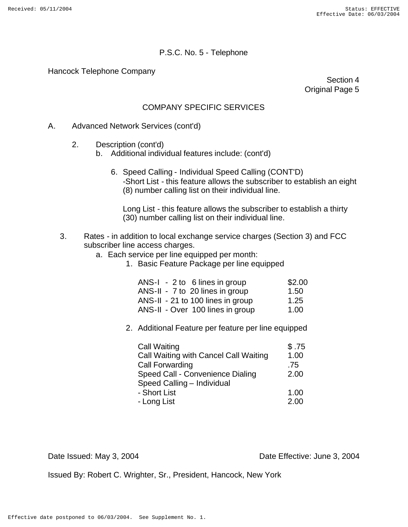Hancock Telephone Company

Section 4 Original Page 5

## COMPANY SPECIFIC SERVICES

#### A. Advanced Network Services (cont'd)

- 2. Description (cont'd)
	- b. Additional individual features include: (cont'd)
		- 6. Speed Calling Individual Speed Calling (CONT'D) -Short List - this feature allows the subscriber to establish an eight (8) number calling list on their individual line.

Long List - this feature allows the subscriber to establish a thirty (30) number calling list on their individual line.

#### 3. Rates - in addition to local exchange service charges (Section 3) and FCC subscriber line access charges.

- a. Each service per line equipped per month:
	- 1. Basic Feature Package per line equipped

| $ANS-I - 2$ to 6 lines in group   | \$2.00 |
|-----------------------------------|--------|
| ANS-II - 7 to 20 lines in group   | 1.50   |
| ANS-II - 21 to 100 lines in group | 1.25   |
| ANS-II - Over 100 lines in group  | 1.00   |

2. Additional Feature per feature per line equipped

| <b>Call Waiting</b>                   | \$.75 |
|---------------------------------------|-------|
| Call Waiting with Cancel Call Waiting | 1.00  |
| <b>Call Forwarding</b>                | .75   |
| Speed Call - Convenience Dialing      | 2.00  |
| Speed Calling - Individual            |       |
| - Short List                          | 1.00  |
| - Long List                           | 2.00  |

Date Issued: May 3, 2004 Date Effective: June 3, 2004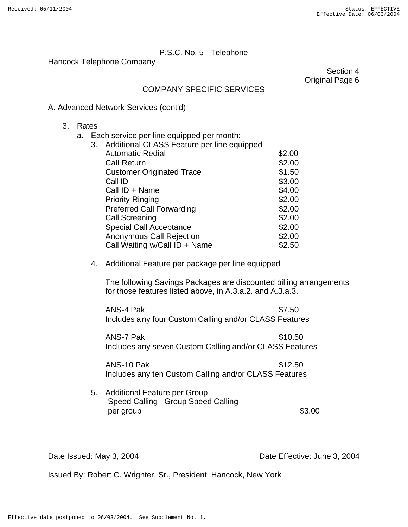Hancock Telephone Company

Section 4 Original Page 6

### COMPANY SPECIFIC SERVICES

### A. Advanced Network Services (cont'd)

- 3. Rates
	- a. Each service per line equipped per month:

| 3. | Additional CLASS Feature per line equipped |        |
|----|--------------------------------------------|--------|
|    | <b>Automatic Redial</b>                    | \$2.00 |
|    | <b>Call Return</b>                         | \$2.00 |
|    | <b>Customer Originated Trace</b>           | \$1.50 |
|    | Call ID                                    | \$3.00 |
|    | Call ID + Name                             | \$4.00 |
|    | <b>Priority Ringing</b>                    | \$2.00 |
|    | <b>Preferred Call Forwarding</b>           | \$2.00 |
|    | <b>Call Screening</b>                      | \$2.00 |
|    | <b>Special Call Acceptance</b>             | \$2.00 |
|    | <b>Anonymous Call Rejection</b>            | \$2.00 |
|    | Call Waiting w/Call ID + Name              | \$2.50 |
|    |                                            |        |

#### 4. Additional Feature per package per line equipped

The following Savings Packages are discounted billing arrangements for those features listed above, in A.3.a.2. and A.3.a.3.

ANS-4 Pak  $$7.50$ Includes any four Custom Calling and/or CLASS Features

ANS-7 Pak \$10.50 Includes any seven Custom Calling and/or CLASS Features

ANS-10 Pak  $$12.50$ Includes any ten Custom Calling and/or CLASS Features

5. Additional Feature per Group Speed Calling - Group Speed Calling  $per group$  \$3.00

Date Issued: May 3, 2004 Date Effective: June 3, 2004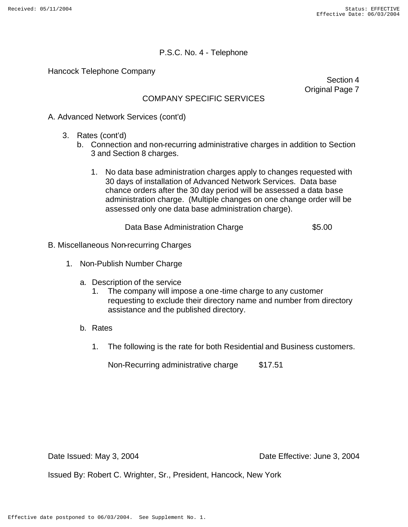Hancock Telephone Company

Section 4 Original Page 7

## COMPANY SPECIFIC SERVICES

A. Advanced Network Services (cont'd)

- 3. Rates (cont'd)
	- b. Connection and non-recurring administrative charges in addition to Section 3 and Section 8 charges.
		- 1. No data base administration charges apply to changes requested with 30 days of installation of Advanced Network Services. Data base chance orders after the 30 day period will be assessed a data base administration charge. (Multiple changes on one change order will be assessed only one data base administration charge).

Data Base Administration Charge  $$5.00$ 

- B. Miscellaneous Non-recurring Charges
	- 1. Non-Publish Number Charge
		- a. Description of the service
			- 1. The company will impose a one-time charge to any customer requesting to exclude their directory name and number from directory assistance and the published directory.
		- b. Rates
			- 1. The following is the rate for both Residential and Business customers.

Non-Recurring administrative charge \$17.51

Date Issued: May 3, 2004 Date Effective: June 3, 2004